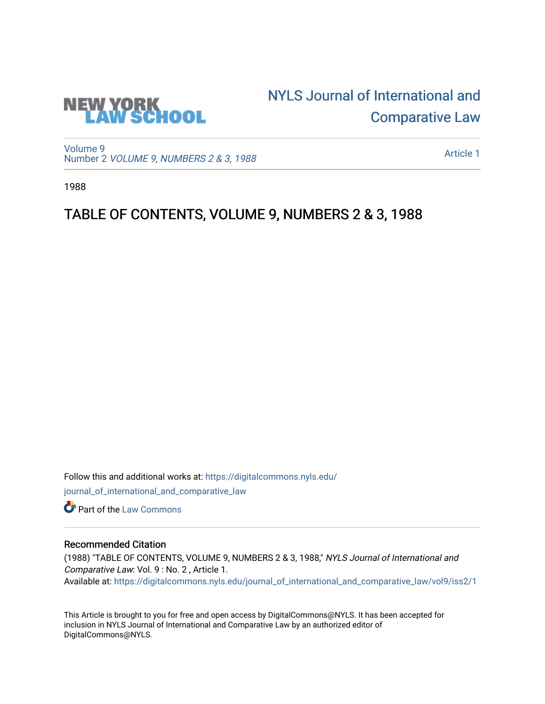

## [NYLS Journal of International and](https://digitalcommons.nyls.edu/journal_of_international_and_comparative_law)  [Comparative Law](https://digitalcommons.nyls.edu/journal_of_international_and_comparative_law)

[Volume 9](https://digitalcommons.nyls.edu/journal_of_international_and_comparative_law/vol9) Number 2 [VOLUME 9, NUMBERS 2 & 3, 1988](https://digitalcommons.nyls.edu/journal_of_international_and_comparative_law/vol9/iss2) 

[Article 1](https://digitalcommons.nyls.edu/journal_of_international_and_comparative_law/vol9/iss2/1) 

1988

## TABLE OF CONTENTS, VOLUME 9, NUMBERS 2 & 3, 1988

Follow this and additional works at: [https://digitalcommons.nyls.edu/](https://digitalcommons.nyls.edu/journal_of_international_and_comparative_law?utm_source=digitalcommons.nyls.edu%2Fjournal_of_international_and_comparative_law%2Fvol9%2Fiss2%2F1&utm_medium=PDF&utm_campaign=PDFCoverPages) [journal\\_of\\_international\\_and\\_comparative\\_law](https://digitalcommons.nyls.edu/journal_of_international_and_comparative_law?utm_source=digitalcommons.nyls.edu%2Fjournal_of_international_and_comparative_law%2Fvol9%2Fiss2%2F1&utm_medium=PDF&utm_campaign=PDFCoverPages) 

**C** Part of the [Law Commons](http://network.bepress.com/hgg/discipline/578?utm_source=digitalcommons.nyls.edu%2Fjournal_of_international_and_comparative_law%2Fvol9%2Fiss2%2F1&utm_medium=PDF&utm_campaign=PDFCoverPages)

## Recommended Citation

(1988) "TABLE OF CONTENTS, VOLUME 9, NUMBERS 2 & 3, 1988," NYLS Journal of International and Comparative Law: Vol. 9 : No. 2 , Article 1. Available at: [https://digitalcommons.nyls.edu/journal\\_of\\_international\\_and\\_comparative\\_law/vol9/iss2/1](https://digitalcommons.nyls.edu/journal_of_international_and_comparative_law/vol9/iss2/1?utm_source=digitalcommons.nyls.edu%2Fjournal_of_international_and_comparative_law%2Fvol9%2Fiss2%2F1&utm_medium=PDF&utm_campaign=PDFCoverPages) 

This Article is brought to you for free and open access by DigitalCommons@NYLS. It has been accepted for inclusion in NYLS Journal of International and Comparative Law by an authorized editor of DigitalCommons@NYLS.